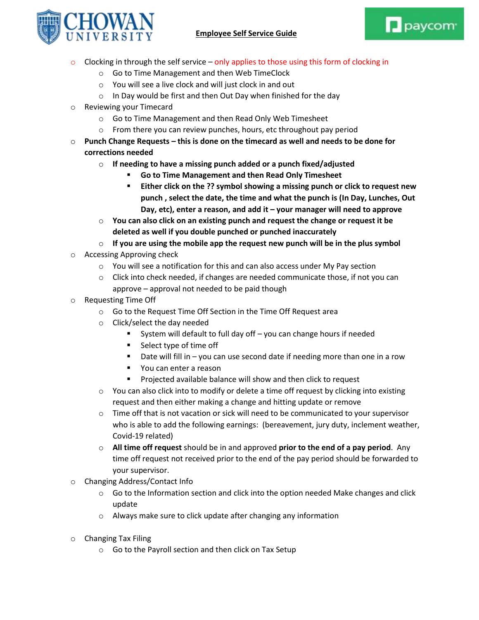



- $\circ$  Clocking in through the self service only applies to those using this form of clocking in
	- o Go to Time Management and then Web TimeClock
	- o You will see a live clock and will just clock in and out
	- $\circ$  In Day would be first and then Out Day when finished for the day
- o Reviewing your Timecard
	- o Go to Time Management and then Read Only Web Timesheet
	- o From there you can review punches, hours, etc throughout pay period
- o **Punch Change Requests – this is done on the timecard as well and needs to be done for corrections needed**
	- o **If needing to have a missing punch added or a punch fixed/adjusted**
		- **Go to Time Management and then Read Only Timesheet**
		- **Either click on the ?? symbol showing a missing punch or click to request new punch , select the date, the time and what the punch is (In Day, Lunches, Out Day, etc), enter a reason, and add it – your manager will need to approve**
	- o **You can also click on an existing punch and request the change or request it be deleted as well if you double punched or punched inaccurately**
	- o **If you are using the mobile app the request new punch will be in the plus symbol**
- o Accessing Approving check
	- $\circ$  You will see a notification for this and can also access under My Pay section
	- $\circ$  Click into check needed, if changes are needed communicate those, if not you can approve – approval not needed to be paid though
- o Requesting Time Off
	- o Go to the Request Time Off Section in the Time Off Request area
	- o Click/select the day needed
		- System will default to full day off you can change hours if needed
		- Select type of time off
		- Date will fill in you can use second date if needing more than one in a row
		- **•** You can enter a reason
		- **Projected available balance will show and then click to request**
	- $\circ$  You can also click into to modify or delete a time off request by clicking into existing request and then either making a change and hitting update or remove
	- $\circ$  Time off that is not vacation or sick will need to be communicated to your supervisor who is able to add the following earnings: (bereavement, jury duty, inclement weather, Covid-19 related)
	- o **All time off request** should be in and approved **prior to the end of a pay period**. Any time off request not received prior to the end of the pay period should be forwarded to your supervisor.
- o Changing Address/Contact Info
	- $\circ$  Go to the Information section and click into the option needed Make changes and click update
	- o Always make sure to click update after changing any information
- o Changing Tax Filing
	- o Go to the Payroll section and then click on Tax Setup